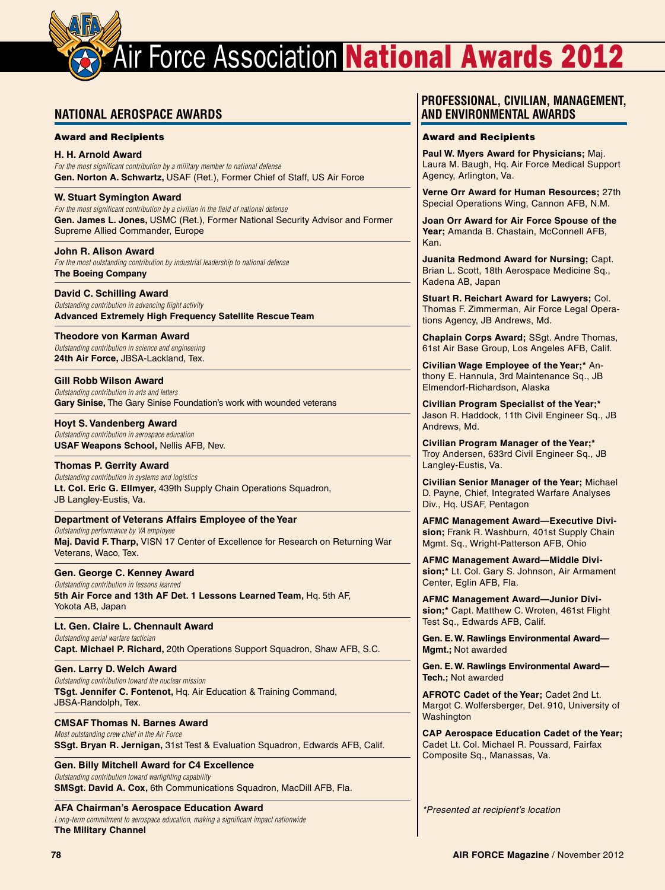# **Air Force Association National Awards 2012**

# **National Aerospace Awards**

### Award and Recipients

**H. H. Arnold Award**  *For the most significant contribution by a military member to national defense*  **Gen. Norton A. Schwartz,** USAF (Ret.), Former Chief of Staff, US Air Force

## **W. Stuart Symington Award**

*For the most significant contribution by a civilian in the field of national defense*  **Gen. James L. Jones,** USMC (Ret.), Former National Security Advisor and Former Supreme Allied Commander, Europe

### **John R. Alison Award**

*For the most outstanding contribution by industrial leadership to national defense*  **The Boeing Company** 

### **David C. Schilling Award**

*Outstanding contribution in advancing flight activity*  **Advanced Extremely High Frequency Satellite Rescue Team**

#### **Theodore von Karman Award**

*Outstanding contribution in science and engineering*  **24th Air Force,** JBSA-Lackland, Tex.

### **Gill Robb Wilson Award**

*Outstanding contribution in arts and letters* **Gary Sinise,** The Gary Sinise Foundation's work with wounded veterans

#### **Hoyt S. Vandenberg Award**

*Outstanding contribution in aerospace education*  **USAF Weapons School,** Nellis AFB, Nev.

### **Thomas P. Gerrity Award**

*Outstanding contribution in systems and logistics* **Lt. Col. Eric G. Ellmyer,** 439th Supply Chain Operations Squadron, JB Langley-Eustis, Va.

# **Department of Veterans Affairs Employee of the Year**

*Outstanding performance by VA employee* **Maj. David F. Tharp,** VISN 17 Center of Excellence for Research on Returning War Veterans, Waco, Tex.

### **Gen. George C. Kenney Award**

*Outstanding contribution in lessons learned* **5th Air Force and 13th AF Det. 1 Lessons Learned Team,** Hq. 5th AF, Yokota AB, Japan

**Lt. Gen. Claire L. Chennault Award** *Outstanding aerial warfare tactician* **Capt. Michael P. Richard,** 20th Operations Support Squadron, Shaw AFB, S.C.

#### **Gen. Larry D. Welch Award** *Outstanding contribution toward the nuclear mission* **TSgt. Jennifer C. Fontenot,** Hq. Air Education & Training Command, JBSA-Randolph, Tex.

# **CMSAF Thomas N. Barnes Award**

*Most outstanding crew chief in the Air Force* **SSgt. Bryan R. Jernigan,** 31st Test & Evaluation Squadron, Edwards AFB, Calif.

#### **Gen. Billy Mitchell Award for C4 Excellence** *Outstanding contribution toward warfighting capability* **SMSgt. David A. Cox,** 6th Communications Squadron, MacDill AFB, Fla.

**AFA Chairman's Aerospace Education Award**

*Long-term commitment to aerospace education, making a significant impact nationwide* **The Military Channel**

# **Professional, Civilian, Management, and Environmental Awards**

#### Award and Recipients

**Paul W. Myers Award for Physicians;** Maj. Laura M. Baugh, Hq. Air Force Medical Support Agency, Arlington, Va.

**Verne Orr Award for Human Resources;** 27th Special Operations Wing, Cannon AFB, N.M.

**Joan Orr Award for Air Force Spouse of the Year;** Amanda B. Chastain, McConnell AFB, Kan.

**Juanita Redmond Award for Nursing;** Capt. Brian L. Scott, 18th Aerospace Medicine Sq., Kadena AB, Japan

**Stuart R. Reichart Award for Lawyers;** Col. Thomas F. Zimmerman, Air Force Legal Operations Agency, JB Andrews, Md.

**Chaplain Corps Award;** SSgt. Andre Thomas, 61st Air Base Group, Los Angeles AFB, Calif.

**Civilian Wage Employee of the Year;\*** Anthony E. Hannula, 3rd Maintenance Sq., JB Elmendorf-Richardson, Alaska

**Civilian Program Specialist of the Year;\***  Jason R. Haddock, 11th Civil Engineer Sq., JB Andrews, Md.

**Civilian Program Manager of the Year;\*** Troy Andersen, 633rd Civil Engineer Sq., JB Langley-Eustis, Va.

**Civilian Senior Manager of the Year;** Michael D. Payne, Chief, Integrated Warfare Analyses Div., Hq. USAF, Pentagon

**AFMC Management Award—Executive Division;** Frank R. Washburn, 401st Supply Chain Mgmt. Sq., Wright-Patterson AFB, Ohio

**AFMC Management Award—Middle Division;\*** Lt. Col. Gary S. Johnson, Air Armament Center, Eglin AFB, Fla.

**AFMC Management Award—Junior Division;\*** Capt. Matthew C. Wroten, 461st Flight Test Sq., Edwards AFB, Calif.

**Gen. E. W. Rawlings Environmental Award— Mgmt.;** Not awarded

**Gen. E. W. Rawlings Environmental Award— Tech.;** Not awarded

**AFROTC Cadet of the Year;** Cadet 2nd Lt. Margot C. Wolfersberger, Det. 910, University of **Washington** 

**CAP Aerospace Education Cadet of the Year;**  Cadet Lt. Col. Michael R. Poussard, Fairfax Composite Sq., Manassas, Va.

*\*Presented at recipient's location*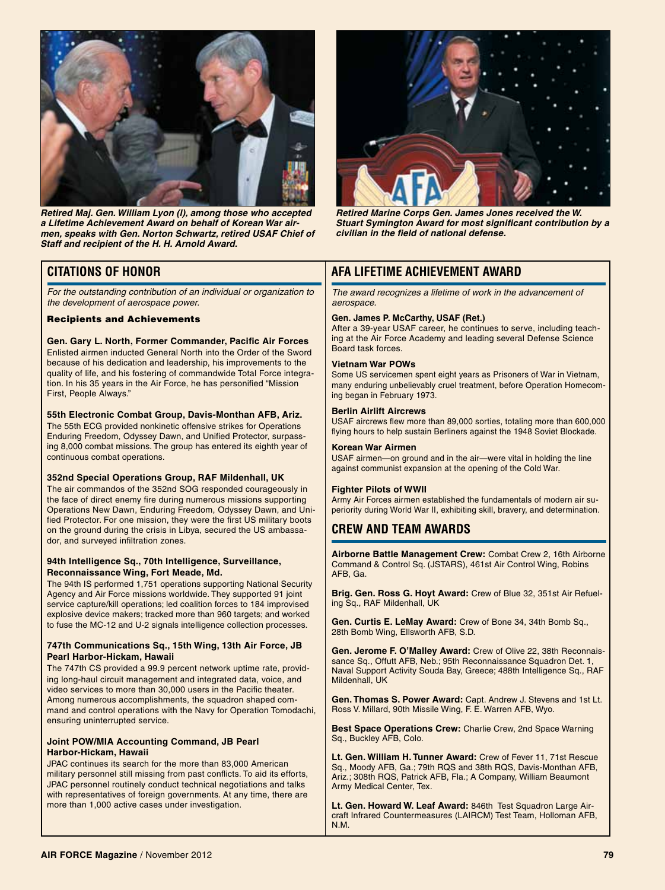

*Retired Maj. Gen. William Lyon (l), among those who accepted a Lifetime Achievement Award on behalf of Korean War airmen, speaks with Gen. Norton Schwartz, retired USAF Chief of Staff and recipient of the H. H. Arnold Award.*

# **Citations of Honor**

*For the outstanding contribution of an individual or organization to the development of aerospace power.* 

#### Recipients and Achievements

#### **Gen. Gary L. North, Former Commander, Pacific Air Forces** Enlisted airmen inducted General North into the Order of the Sword because of his dedication and leadership, his improvements to the quality of life, and his fostering of commandwide Total Force integra-

tion. In his 35 years in the Air Force, he has personified "Mission First, People Always."

#### **55th Electronic Combat Group, Davis-Monthan AFB, Ariz.**

The 55th ECG provided nonkinetic offensive strikes for Operations Enduring Freedom, Odyssey Dawn, and Unified Protector, surpassing 8,000 combat missions. The group has entered its eighth year of continuous combat operations.

#### **352nd Special Operations Group, RAF Mildenhall, UK**

The air commandos of the 352nd SOG responded courageously in the face of direct enemy fire during numerous missions supporting Operations New Dawn, Enduring Freedom, Odyssey Dawn, and Unified Protector. For one mission, they were the first US military boots on the ground during the crisis in Libya, secured the US ambassador, and surveyed infiltration zones.

#### **94th Intelligence Sq., 70th Intelligence, Surveillance, Reconnaissance Wing, Fort Meade, Md.**

The 94th IS performed 1,751 operations supporting National Security Agency and Air Force missions worldwide. They supported 91 joint service capture/kill operations; led coalition forces to 184 improvised explosive device makers; tracked more than 960 targets; and worked to fuse the MC-12 and U-2 signals intelligence collection processes.

#### **747th Communications Sq., 15th Wing, 13th Air Force, JB Pearl Harbor-Hickam, Hawaii**

The 747th CS provided a 99.9 percent network uptime rate, providing long-haul circuit management and integrated data, voice, and video services to more than 30,000 users in the Pacific theater. Among numerous accomplishments, the squadron shaped command and control operations with the Navy for Operation Tomodachi, ensuring uninterrupted service.

#### **Joint POW/MIA Accounting Command, JB Pearl Harbor-Hickam, Hawaii**

JPAC continues its search for the more than 83,000 American military personnel still missing from past conflicts. To aid its efforts, JPAC personnel routinely conduct technical negotiations and talks with representatives of foreign governments. At any time, there are more than 1,000 active cases under investigation.



*Retired Marine Corps Gen. James Jones received the W. Stuart Symington Award for most significant contribution by a civilian in the field of national defense.*

# **AFA Lifetime Achievement Award**

*The award recognizes a lifetime of work in the advancement of aerospace.*

#### **Gen. James P. McCarthy, USAF (Ret.)**

After a 39-year USAF career, he continues to serve, including teaching at the Air Force Academy and leading several Defense Science Board task forces.

#### **Vietnam War POWs**

Some US servicemen spent eight years as Prisoners of War in Vietnam, many enduring unbelievably cruel treatment, before Operation Homecoming began in February 1973.

#### **Berlin Airlift Aircrews**

USAF aircrews flew more than 89,000 sorties, totaling more than 600,000 flying hours to help sustain Berliners against the 1948 Soviet Blockade.

#### **Korean War Airmen**

USAF airmen—on ground and in the air—were vital in holding the line against communist expansion at the opening of the Cold War.

#### **Fighter Pilots of WWII**

Army Air Forces airmen established the fundamentals of modern air superiority during World War II, exhibiting skill, bravery, and determination.

# **Crew and Team Awards**

**Airborne Battle Management Crew:** Combat Crew 2, 16th Airborne Command & Control Sq. (JSTARS), 461st Air Control Wing, Robins AFB, Ga.

**Brig. Gen. Ross G. Hoyt Award:** Crew of Blue 32, 351st Air Refueling Sq., RAF Mildenhall, UK

**Gen. Curtis E. LeMay Award:** Crew of Bone 34, 34th Bomb Sq., 28th Bomb Wing, Ellsworth AFB, S.D.

**Gen. Jerome F. O'Malley Award:** Crew of Olive 22, 38th Reconnaissance Sq., Offutt AFB, Neb.; 95th Reconnaissance Squadron Det. 1, Naval Support Activity Souda Bay, Greece; 488th Intelligence Sq., RAF Mildenhall, UK

**Gen. Thomas S. Power Award:** Capt. Andrew J. Stevens and 1st Lt. Ross V. Millard, 90th Missile Wing, F. E. Warren AFB, Wyo.

**Best Space Operations Crew:** Charlie Crew, 2nd Space Warning Sq., Buckley AFB, Colo.

**Lt. Gen. William H. Tunner Award:** Crew of Fever 11, 71st Rescue Sq., Moody AFB, Ga.; 79th RQS and 38th RQS, Davis-Monthan AFB, Ariz.; 308th RQS, Patrick AFB, Fla.; A Company, William Beaumont Army Medical Center, Tex.

**Lt. Gen. Howard W. Leaf Award:** 846th Test Squadron Large Aircraft Infrared Countermeasures (LAIRCM) Test Team, Holloman AFB, N.M.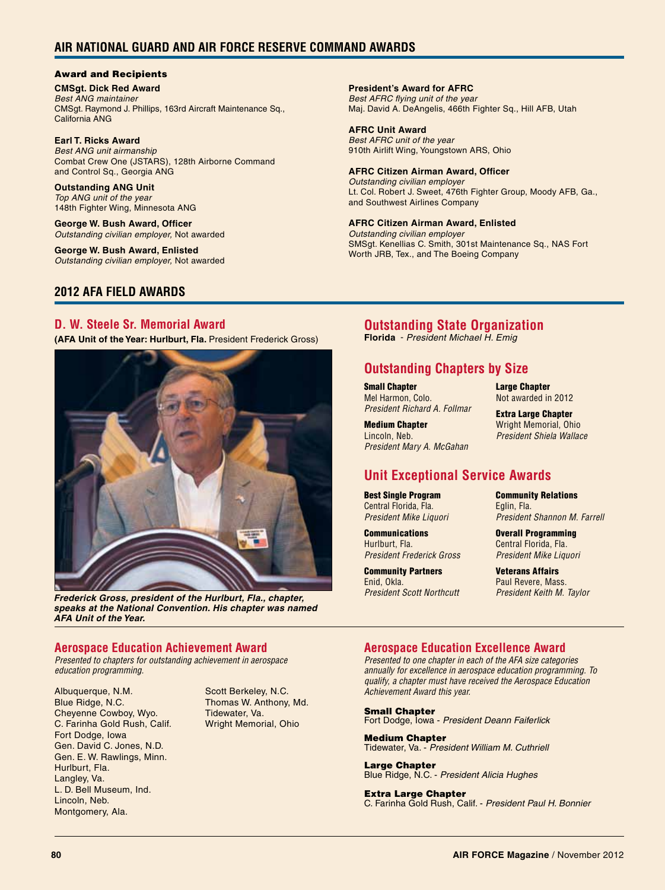# **Air National Guard and Air Force Reserve Command Awards**

# Award and Recipients

**CMSgt. Dick Red Award** *Best ANG maintainer* CMSgt. Raymond J. Phillips, 163rd Aircraft Maintenance Sq., California ANG

**Earl T. Ricks Award** *Best ANG unit airmanship* Combat Crew One (JSTARS), 128th Airborne Command and Control Sq., Georgia ANG

**Outstanding ANG Unit** *Top ANG unit of the year* 148th Fighter Wing, Minnesota ANG

**George W. Bush Award, Officer** *Outstanding civilian employer,* Not awarded

**George W. Bush Award, Enlisted** *Outstanding civilian employer,* Not awarded

# **2012 AFA FIELD AWARDS**

# **D. W. Steele Sr. Memorial Award**

**(AFA Unit of the Year: Hurlburt, Fla.** President Frederick Gross)



*Frederick Gross, president of the Hurlburt, Fla., chapter, speaks at the National Convention. His chapter was named AFA Unit of the Year.*

# **Aerospace Education Achievement Award**

*Presented to chapters for outstanding achievement in aerospace education programming.*

Albuquerque, N.M. Blue Ridge, N.C. Cheyenne Cowboy, Wyo. C. Farinha Gold Rush, Calif. Fort Dodge, Iowa Gen. David C. Jones, N.D. Gen. E. W. Rawlings, Minn. Hurlburt, Fla. Langley, Va. L. D. Bell Museum, Ind. Lincoln, Neb. Montgomery, Ala.

Scott Berkeley, N.C. Thomas W. Anthony, Md. Tidewater, Va. Wright Memorial, Ohio

# **President's Award for AFRC**

*Best AFRC flying unit of the year* Maj. David A. DeAngelis, 466th Fighter Sq., Hill AFB, Utah

#### **AFRC Unit Award** *Best AFRC unit of the year*

910th Airlift Wing, Youngstown ARS, Ohio

#### **AFRC Citizen Airman Award, Officer** *Outstanding civilian employer*

Lt. Col. Robert J. Sweet, 476th Fighter Group, Moody AFB, Ga., and Southwest Airlines Company

# **AFRC Citizen Airman Award, Enlisted**

*Outstanding civilian employer* SMSgt. Kenellias C. Smith, 301st Maintenance Sq., NAS Fort Worth JRB, Tex., and The Boeing Company

# **Outstanding State Organization**

**Florida** - *President Michael H. Emig*

# **Outstanding Chapters by Size**

Small Chapter Mel Harmon, Colo. *President Richard A. Follmar*

*President Mary A. McGahan*

Medium Chapter Lincoln, Neb.

Large Chapter Not awarded in 2012

Extra Large Chapter Wright Memorial, Ohio *President Shiela Wallace*

# **Unit Exceptional Service Awards**

Best Single Program Central Florida, Fla. *President Mike Liquori*

**Communications** Hurlburt, Fla. *President Frederick Gross*

Community Partners Enid, Okla. *President Scott Northcutt* Community Relations Eglin, Fla. *President Shannon M. Farrell*

Overall Programming Central Florida, Fla. *President Mike Liquori*

Veterans Affairs Paul Revere, Mass. *President Keith M. Taylor*

# **Aerospace Education Excellence Award**

*Presented to one chapter in each of the AFA size categories annually for excellence in aerospace education programming. To qualify, a chapter must have received the Aerospace Education Achievement Award this year.*

Small Chapter Fort Dodge, Iowa - *President Deann Faiferlick*

Medium Chapter Tidewater, Va. - *President William M. Cuthriell*

Large Chapter Blue Ridge, N.C. - *President Alicia Hughes*

Extra Large Chapter C. Farinha Gold Rush, Calif. - *President Paul H. Bonnier*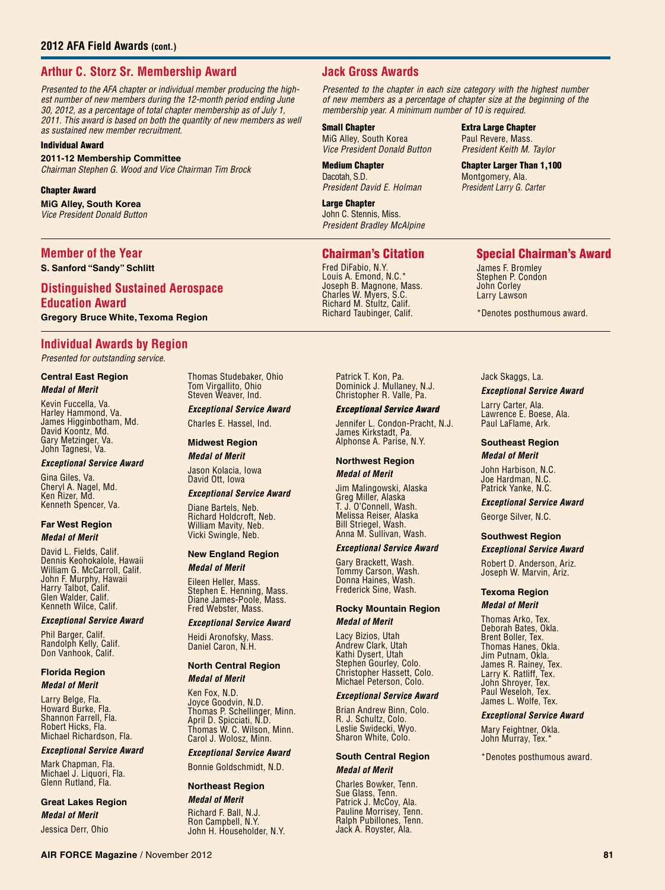# **Arthur C. Storz Sr. Membership Award**

*Presented to the AFA chapter or individual member producing the highest number of new members during the 12-month period ending June 30, 2012, as a percentage of total chapter membership as of July 1, 2011. This award is based on both the quantity of new members as well as sustained new member recruitment.*

#### Individual Award

#### **2011-12 Membership Committee**

*Chairman Stephen G. Wood and Vice Chairman Tim Brock*

#### Chapter Award

**MiG Alley, South Korea** *Vice President Donald Button*

#### **Member of the Year**

**S. Sanford "Sandy" Schlitt**

# **Distinguished Sustained Aerospace Education Award Gregory Bruce White, Texoma Region**

# **Individual Awards by Region**

*Presented for outstanding service.*

#### **Central East Region** *Medal of Merit*

Kevin Fuccella, Va. Harley Hammond, Va. James Higginbotham, Md. David Koontz, Md. Gary Metzinger, Va. John Tagnesi, Va.

#### *Exceptional Service Award*

Gina Giles, Va. Cheryl A. Nagel, Md. Ken Rizer, Md. Kenneth Spencer, Va.

#### **Far West Region** *Medal of Merit*

David L. Fields, Calif. Dennis Keohokalole, Hawaii William G. McCarroll, Calif. John F. Murphy, Hawaii Harry Talbot, Calif. Glen Walder, Calif. Kenneth Wilce, Calif.

#### *Exceptional Service Award*

Phil Barger, Calif. Randolph Kelly, Calif. Don Vanhook, Calif.

#### **Florida Region** *Medal of Merit*

Larry Belge, Fla. Howard Burke, Fla. Shannon Farrell, Fla. Robert Hicks, Fla. Michael Richardson, Fla.

#### *Exceptional Service Award*

Mark Chapman, Fla. Michael J. Liquori, Fla. Glenn Rutland, Fla.

# **Great Lakes Region** *Medal of Merit*

Jessica Derr, Ohio

Thomas Studebaker, Ohio Tom Virgallito, Ohio Steven Weaver, Ind.

#### *Exceptional Service Award* Charles E. Hassel, Ind.

**Midwest Region** *Medal of Merit*

Jason Kolacia, Iowa David Ott, Iowa

#### *Exceptional Service Award*

Diane Bartels, Neb. Richard Holdcroft, Neb. William Mavity, Neb. Vicki Swingle, Neb.

#### **New England Region**

*Medal of Merit*

Eileen Heller, Mass. Stephen E. Henning, Mass. Diane James-Poole, Mass. Fred Webster, Mass.

#### *Exceptional Service Award*

Heidi Aronofsky, Mass. Daniel Caron, N.H.

#### **North Central Region** *Medal of Merit*

Ken Fox, N.D. Joyce Goodvin, N.D. Thomas P. Schellinger, Minn. April D. Spicciati, N.D. Thomas W. C. Wilson, Minn. Carol J. Wolosz, Minn.

#### *Exceptional Service Award*

Bonnie Goldschmidt, N.D.

#### **Northeast Region**

*Medal of Merit* Richard F. Ball, N.J. Ron Campbell, N.Y. John H. Householder, N.Y.

# **Jack Gross Awards**

*Presented to the chapter in each size category with the highest number of new members as a percentage of chapter size at the beginning of the membership year. A minimum number of 10 is required.*

#### Small Chapter MiG Alley, South Korea

*Vice President Donald Button*

#### Medium Chapter Dacotah, S.D. *President David E. Holman*

Large Chapter John C. Stennis, Miss. *President Bradley McAlpine*

# Chairman's Citation

Fred DiFabio, N.Y. Louis A. Emond, N.C.\* Joseph B. Magnone, Mass. Charles W. Myers, S.C. Richard M. Stultz, Calif. Richard Taubinger, Calif.

> Patrick T. Kon, Pa. Dominick J. Mullaney, N.J. Christopher R. Valle, Pa.

#### *Exceptional Service Award*

Jennifer L. Condon-Pracht, N.J. James Kirkstadt, Pa. Alphonse A. Parise, N.Y.

#### **Northwest Region**

*Medal of Merit*

Jim Malingowski, Alaska Greg Miller, Alaska T. J. O'Connell, Wash. Melissa Reiser, Alaska Bill Striegel, Wash. Anna M. Sullivan, Wash.

#### *Exceptional Service Award*

Gary Brackett, Wash. Tommy Carson, Wash. Donna Haines, Wash. Frederick Sine, Wash.

#### **Rocky Mountain Region**

#### *Medal of Merit*

Lacy Bizios, Utah Andrew Clark, Utah Kathi Dysert, Utah Stephen Gourley, Colo. Christopher Hassett, Colo. Michael Peterson, Colo.

#### *Exceptional Service Award*

Brian Andrew Binn, Colo. R. J. Schultz, Colo. Leslie Swidecki, Wyo. Sharon White, Colo.

#### **South Central Region** *Medal of Merit*

Charles Bowker, Tenn. Sue Glass, Tenn. Patrick J. McCoy, Ala. Pauline Morrisey, Tenn. Ralph Pubillones, Tenn. Jack A. Royster, Ala.

# Special Chairman's Award

James F. Bromley Stephen P. Condon John Corley Larry Lawson

Extra Large Chapter Paul Revere, Mass. *President Keith M. Taylor* Chapter Larger Than 1,100 Montgomery, Ala. *President Larry G. Carter*

\*Denotes posthumous award.

### Jack Skaggs, La.

#### *Exceptional Service Award*

Larry Carter, Ala. Lawrence E. Boese, Ala. Paul LaFlame, Ark.

#### **Southeast Region**

# *Medal of Merit*

John Harbison, N.C. Joe Hardman, N.C. Patrick Yanke, N.C.

*Exceptional Service Award*

George Silver, N.C.

#### **Southwest Region**

*Exceptional Service Award*

Robert D. Anderson, Ariz. Joseph W. Marvin, Ariz.

#### **Texoma Region**

### *Medal of Merit*

Thomas Arko, Tex. Deborah Bates, Okla. Brent Boller, Tex. Thomas Hanes, Okla. Jim Putnam, Okla. James R. Rainey, Tex. Larry K. Ratliff, Tex. John Shroyer, Tex. Paul Weseloh, Tex. James L. Wolfe, Tex.

#### *Exceptional Service Award*

Mary Feightner, Okla. John Murray, Tex.<sup>\*</sup>

\*Denotes posthumous award.